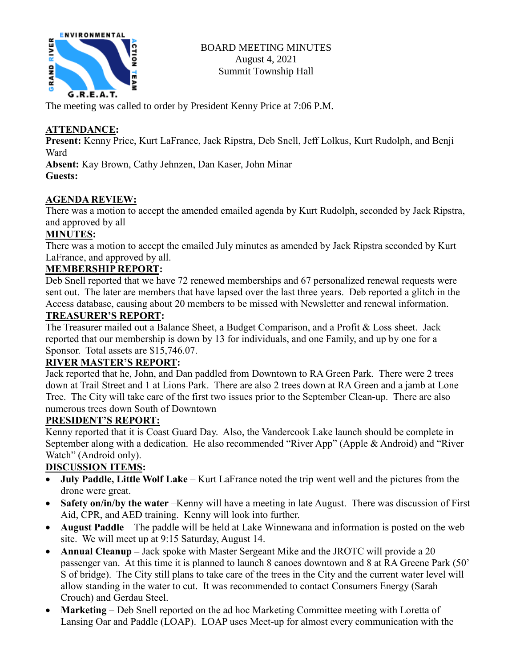

The meeting was called to order by President Kenny Price at 7:06 P.M.

# **ATTENDANCE:**

**Present:** Kenny Price, Kurt LaFrance, Jack Ripstra, Deb Snell, Jeff Lolkus, Kurt Rudolph, and Benji Ward

**Absent:** Kay Brown, Cathy Jehnzen, Dan Kaser, John Minar **Guests:**

## **AGENDA REVIEW:**

There was a motion to accept the amended emailed agenda by Kurt Rudolph, seconded by Jack Ripstra, and approved by all

## **MINUTES:**

There was a motion to accept the emailed July minutes as amended by Jack Ripstra seconded by Kurt LaFrance, and approved by all.

## **MEMBERSHIP REPORT:**

Deb Snell reported that we have 72 renewed memberships and 67 personalized renewal requests were sent out. The later are members that have lapsed over the last three years. Deb reported a glitch in the Access database, causing about 20 members to be missed with Newsletter and renewal information.

## **TREASURER'S REPORT:**

The Treasurer mailed out a Balance Sheet, a Budget Comparison, and a Profit & Loss sheet. Jack reported that our membership is down by 13 for individuals, and one Family, and up by one for a Sponsor. Total assets are \$15,746.07.

## **RIVER MASTER'S REPORT:**

Jack reported that he, John, and Dan paddled from Downtown to RA Green Park. There were 2 trees down at Trail Street and 1 at Lions Park. There are also 2 trees down at RA Green and a jamb at Lone Tree. The City will take care of the first two issues prior to the September Clean-up. There are also numerous trees down South of Downtown

## **PRESIDENT'S REPORT:**

Kenny reported that it is Coast Guard Day. Also, the Vandercook Lake launch should be complete in September along with a dedication. He also recommended "River App" (Apple & Android) and "River Watch" (Android only).

# **DISCUSSION ITEMS:**

- **July Paddle, Little Wolf Lake** Kurt LaFrance noted the trip went well and the pictures from the drone were great.
- **Safety on/in/by the water** –Kenny will have a meeting in late August. There was discussion of First Aid, CPR, and AED training. Kenny will look into further.
- **August Paddle** The paddle will be held at Lake Winnewana and information is posted on the web site. We will meet up at 9:15 Saturday, August 14.
- **Annual Cleanup –** Jack spoke with Master Sergeant Mike and the JROTC will provide a 20 passenger van. At this time it is planned to launch 8 canoes downtown and 8 at RA Greene Park (50' S of bridge). The City still plans to take care of the trees in the City and the current water level will allow standing in the water to cut. It was recommended to contact Consumers Energy (Sarah Crouch) and Gerdau Steel.
- **Marketing** Deb Snell reported on the ad hoc Marketing Committee meeting with Loretta of Lansing Oar and Paddle (LOAP). LOAP uses Meet-up for almost every communication with the